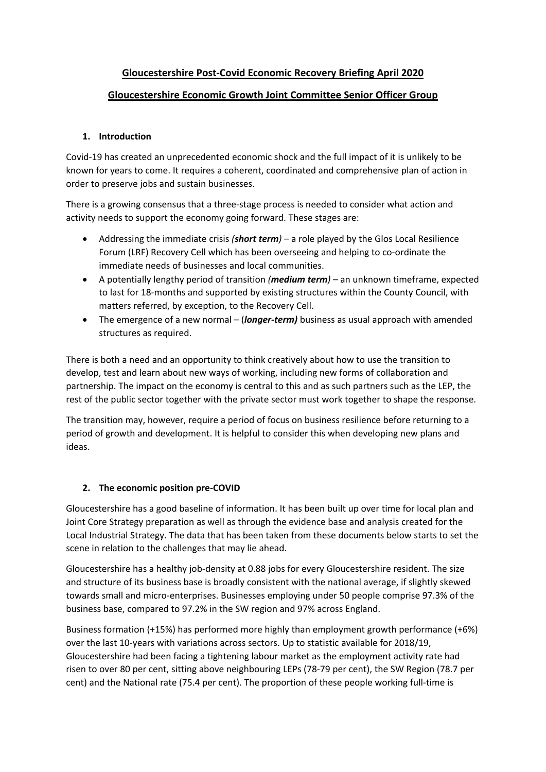# **Gloucestershire Post-Covid Economic Recovery Briefing April 2020**

# **Gloucestershire Economic Growth Joint Committee Senior Officer Group**

## **1. Introduction**

Covid-19 has created an unprecedented economic shock and the full impact of it is unlikely to be known for years to come. It requires a coherent, coordinated and comprehensive plan of action in order to preserve jobs and sustain businesses.

There is a growing consensus that a three-stage process is needed to consider what action and activity needs to support the economy going forward. These stages are:

- Addressing the immediate crisis *(short term)* a role played by the Glos Local Resilience Forum (LRF) Recovery Cell which has been overseeing and helping to co-ordinate the immediate needs of businesses and local communities.
- A potentially lengthy period of transition *(medium term)* an unknown timeframe, expected to last for 18-months and supported by existing structures within the County Council, with matters referred, by exception, to the Recovery Cell.
- The emergence of a new normal (*longer-term)* business as usual approach with amended structures as required.

There is both a need and an opportunity to think creatively about how to use the transition to develop, test and learn about new ways of working, including new forms of collaboration and partnership. The impact on the economy is central to this and as such partners such as the LEP, the rest of the public sector together with the private sector must work together to shape the response.

The transition may, however, require a period of focus on business resilience before returning to a period of growth and development. It is helpful to consider this when developing new plans and ideas.

#### **2. The economic position pre-COVID**

Gloucestershire has a good baseline of information. It has been built up over time for local plan and Joint Core Strategy preparation as well as through the evidence base and analysis created for the Local Industrial Strategy. The data that has been taken from these documents below starts to set the scene in relation to the challenges that may lie ahead.

Gloucestershire has a healthy job-density at 0.88 jobs for every Gloucestershire resident. The size and structure of its business base is broadly consistent with the national average, if slightly skewed towards small and micro-enterprises. Businesses employing under 50 people comprise 97.3% of the business base, compared to 97.2% in the SW region and 97% across England.

Business formation (+15%) has performed more highly than employment growth performance (+6%) over the last 10-years with variations across sectors. Up to statistic available for 2018/19, Gloucestershire had been facing a tightening labour market as the employment activity rate had risen to over 80 per cent, sitting above neighbouring LEPs (78-79 per cent), the SW Region (78.7 per cent) and the National rate (75.4 per cent). The proportion of these people working full-time is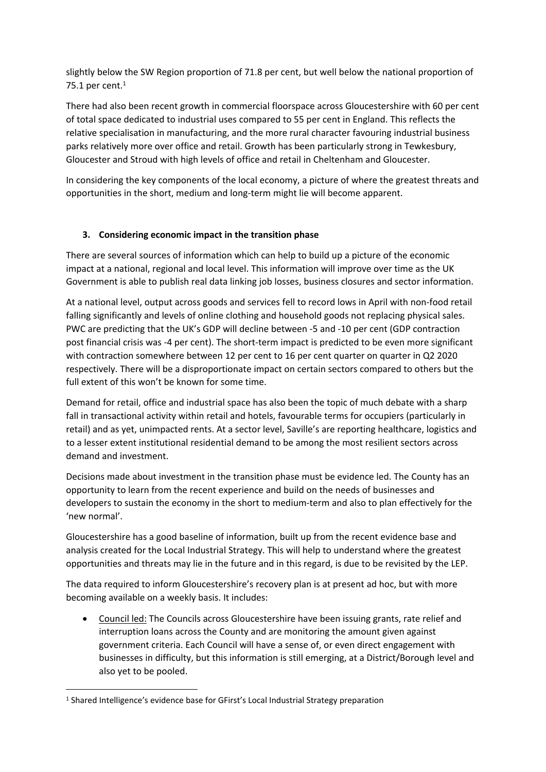slightly below the SW Region proportion of 71.8 per cent, but well below the national proportion of 75.1 per cent.<sup>1</sup>

There had also been recent growth in commercial floorspace across Gloucestershire with 60 per cent of total space dedicated to industrial uses compared to 55 per cent in England. This reflects the relative specialisation in manufacturing, and the more rural character favouring industrial business parks relatively more over office and retail. Growth has been particularly strong in Tewkesbury, Gloucester and Stroud with high levels of office and retail in Cheltenham and Gloucester.

In considering the key components of the local economy, a picture of where the greatest threats and opportunities in the short, medium and long-term might lie will become apparent.

## **3. Considering economic impact in the transition phase**

There are several sources of information which can help to build up a picture of the economic impact at a national, regional and local level. This information will improve over time as the UK Government is able to publish real data linking job losses, business closures and sector information.

At a national level, output across goods and services fell to record lows in April with non-food retail falling significantly and levels of online clothing and household goods not replacing physical sales. PWC are predicting that the UK's GDP will decline between -5 and -10 per cent (GDP contraction post financial crisis was -4 per cent). The short-term impact is predicted to be even more significant with contraction somewhere between 12 per cent to 16 per cent quarter on quarter in Q2 2020 respectively. There will be a disproportionate impact on certain sectors compared to others but the full extent of this won't be known for some time.

Demand for retail, office and industrial space has also been the topic of much debate with a sharp fall in transactional activity within retail and hotels, favourable terms for occupiers (particularly in retail) and as yet, unimpacted rents. At a sector level, Saville's are reporting healthcare, logistics and to a lesser extent institutional residential demand to be among the most resilient sectors across demand and investment.

Decisions made about investment in the transition phase must be evidence led. The County has an opportunity to learn from the recent experience and build on the needs of businesses and developers to sustain the economy in the short to medium-term and also to plan effectively for the 'new normal'.

Gloucestershire has a good baseline of information, built up from the recent evidence base and analysis created for the Local Industrial Strategy. This will help to understand where the greatest opportunities and threats may lie in the future and in this regard, is due to be revisited by the LEP.

The data required to inform Gloucestershire's recovery plan is at present ad hoc, but with more becoming available on a weekly basis. It includes:

 Council led: The Councils across Gloucestershire have been issuing grants, rate relief and interruption loans across the County and are monitoring the amount given against government criteria. Each Council will have a sense of, or even direct engagement with businesses in difficulty, but this information is still emerging, at a District/Borough level and also yet to be pooled.

<sup>&</sup>lt;sup>1</sup> Shared Intelligence's evidence base for GFirst's Local Industrial Strategy preparation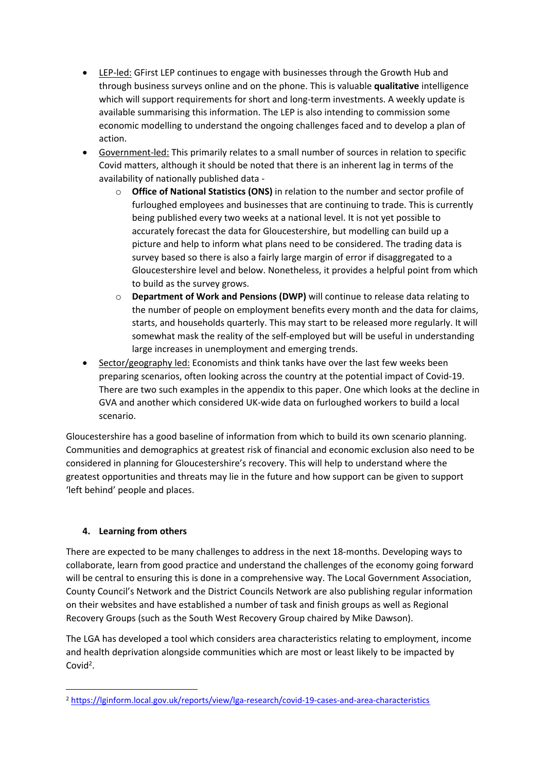- LEP-led: GFirst LEP continues to engage with businesses through the Growth Hub and through business surveys online and on the phone. This is valuable **qualitative** intelligence which will support requirements for short and long-term investments. A weekly update is available summarising this information. The LEP is also intending to commission some economic modelling to understand the ongoing challenges faced and to develop a plan of action.
- Government-led: This primarily relates to a small number of sources in relation to specific Covid matters, although it should be noted that there is an inherent lag in terms of the availability of nationally published data
	- o **Office of National Statistics (ONS)** in relation to the number and sector profile of furloughed employees and businesses that are continuing to trade. This is currently being published every two weeks at a national level. It is not yet possible to accurately forecast the data for Gloucestershire, but modelling can build up a picture and help to inform what plans need to be considered. The trading data is survey based so there is also a fairly large margin of error if disaggregated to a Gloucestershire level and below. Nonetheless, it provides a helpful point from which to build as the survey grows.
	- o **Department of Work and Pensions (DWP)** will continue to release data relating to the number of people on employment benefits every month and the data for claims, starts, and households quarterly. This may start to be released more regularly. It will somewhat mask the reality of the self-employed but will be useful in understanding large increases in unemployment and emerging trends.
- Sector/geography led: Economists and think tanks have over the last few weeks been preparing scenarios, often looking across the country at the potential impact of Covid-19. There are two such examples in the appendix to this paper. One which looks at the decline in GVA and another which considered UK-wide data on furloughed workers to build a local scenario.

Gloucestershire has a good baseline of information from which to build its own scenario planning. Communities and demographics at greatest risk of financial and economic exclusion also need to be considered in planning for Gloucestershire's recovery. This will help to understand where the greatest opportunities and threats may lie in the future and how support can be given to support 'left behind' people and places.

# **4. Learning from others**

There are expected to be many challenges to address in the next 18-months. Developing ways to collaborate, learn from good practice and understand the challenges of the economy going forward will be central to ensuring this is done in a comprehensive way. The Local Government Association, County Council's Network and the District Councils Network are also publishing regular information on their websites and have established a number of task and finish groups as well as Regional Recovery Groups (such as the South West Recovery Group chaired by Mike Dawson).

The LGA has developed a tool which considers area characteristics relating to employment, income and health deprivation alongside communities which are most or least likely to be impacted by Covid<sup>2</sup>.

<sup>2</sup> <https://lginform.local.gov.uk/reports/view/lga-research/covid-19-cases-and-area-characteristics>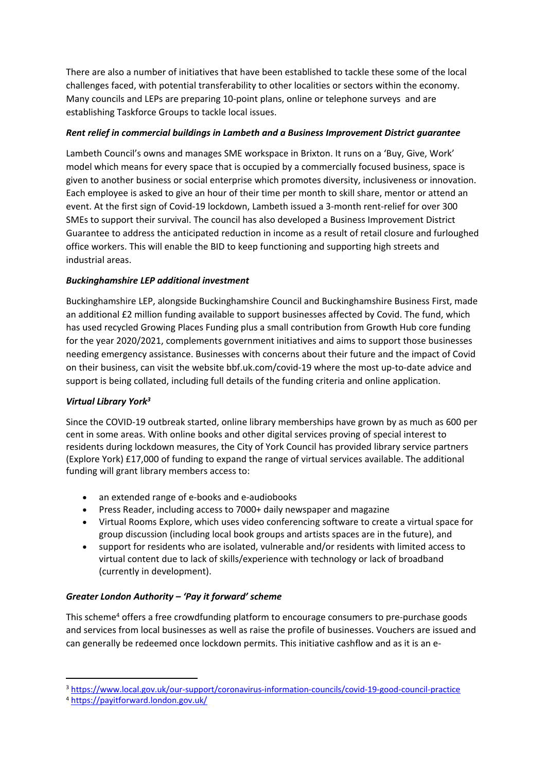There are also a number of initiatives that have been established to tackle these some of the local challenges faced, with potential transferability to other localities or sectors within the economy. Many councils and LEPs are preparing 10-point plans, online or telephone surveys and are establishing Taskforce Groups to tackle local issues.

#### *Rent relief in commercial buildings in Lambeth and a Business Improvement District guarantee*

Lambeth Council's owns and manages SME workspace in Brixton. It runs on a 'Buy, Give, Work' model which means for every space that is occupied by a commercially focused business, space is given to another business or social enterprise which promotes diversity, inclusiveness or innovation. Each employee is asked to give an hour of their time per month to skill share, mentor or attend an event. At the first sign of Covid-19 lockdown, Lambeth issued a 3-month rent-relief for over 300 SMEs to support their survival. The council has also developed a Business Improvement District Guarantee to address the anticipated reduction in income as a result of retail closure and furloughed office workers. This will enable the BID to keep functioning and supporting high streets and industrial areas.

## *Buckinghamshire LEP additional investment*

[Buckinghamshire](https://www.buckstvlep.co.uk/) LEP, alongside Buckinghamshire Council and Buckinghamshire Business First, made an additional £2 million funding available to support businesses affected by Covid. The fund, which has used recycled Growing Places Funding plus a small contribution from Growth Hub core funding for the year 2020/2021, complements government initiatives and aims to support those businesses needing emergency assistance. Businesses with concerns about their future and the impact of Covid on their business, can visit the website [bbf.uk.com/covid-19](https://eur03.safelinks.protection.outlook.com/?url=http%3A%2F%2Fbbf.uk.com%2Fcovid-19&data=02%7C01%7Csue.robinson%40buckinghamshire.gov.uk%7C1fbddf82f76f4fc4023f08d7d0aba6ce%7C7fb976b99e2848e180861ddabecf82a0%7C0%7C0%7C637207307965572714&sdata=R9Cw841Zupgd%2FLZYzYE%2FE7XC9pj721aNXv%2BtV8q47mI%3D&reserved=0) where the most up-to-date advice and support is being collated, including full details of the funding criteria and online application.

#### *Virtual Library York<sup>3</sup>*

Since the COVID-19 outbreak started, online library memberships have grown by as much as 600 per cent in some areas. With online books and other digital services proving of special interest to residents during lockdown measures, the City of York Council has provided library service partners (Explore York) £17,000 of funding to expand the range of virtual services available. The additional funding will grant library members access to:

- an extended range of e-books and e-audiobooks
- Press Reader, including access to 7000+ daily newspaper and magazine
- Virtual Rooms Explore, which uses video conferencing software to create a virtual space for group discussion (including local book groups and artists spaces are in the future), and
- support for residents who are isolated, vulnerable and/or residents with limited access to virtual content due to lack of skills/experience with technology or lack of broadband (currently in development).

# *Greater London Authority – 'Pay it forward' scheme*

This scheme<sup>4</sup> offers a free crowdfunding platform to encourage consumers to pre-purchase goods and services from local businesses as well as raise the profile of businesses. Vouchers are issued and can generally be redeemed once lockdown permits. This initiative cashflow and as it is an e-

<sup>3</sup> <https://www.local.gov.uk/our-support/coronavirus-information-councils/covid-19-good-council-practice>

<sup>4</sup> <https://payitforward.london.gov.uk/>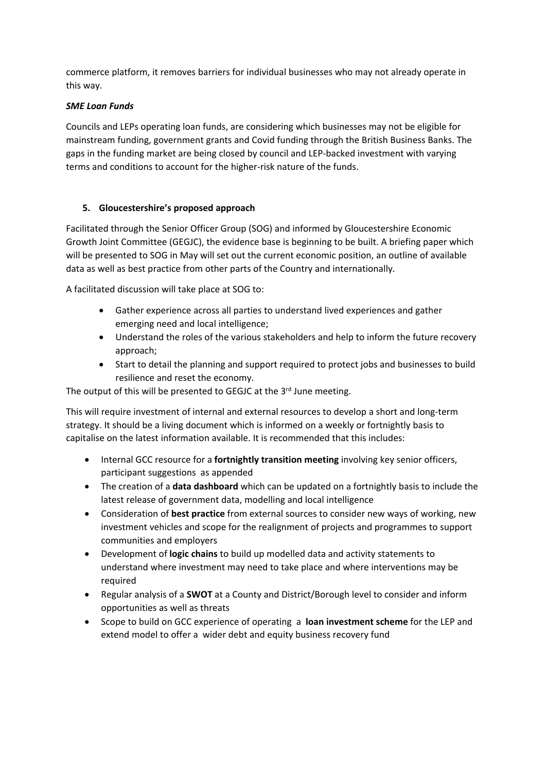commerce platform, it removes barriers for individual businesses who may not already operate in this way.

#### *SME Loan Funds*

Councils and LEPs operating loan funds, are considering which businesses may not be eligible for mainstream funding, government grants and Covid funding through the British Business Banks. The gaps in the funding market are being closed by council and LEP-backed investment with varying terms and conditions to account for the higher-risk nature of the funds.

## **5. Gloucestershire's proposed approach**

Facilitated through the Senior Officer Group (SOG) and informed by Gloucestershire Economic Growth Joint Committee (GEGJC), the evidence base is beginning to be built. A briefing paper which will be presented to SOG in May will set out the current economic position, an outline of available data as well as best practice from other parts of the Country and internationally.

A facilitated discussion will take place at SOG to:

- Gather experience across all parties to understand lived experiences and gather emerging need and local intelligence;
- Understand the roles of the various stakeholders and help to inform the future recovery approach;
- Start to detail the planning and support required to protect jobs and businesses to build resilience and reset the economy.

The output of this will be presented to GEGJC at the 3rd June meeting.

This will require investment of internal and external resources to develop a short and long-term strategy. It should be a living document which is informed on a weekly or fortnightly basis to capitalise on the latest information available. It is recommended that this includes:

- Internal GCC resource for a **fortnightly transition meeting** involving key senior officers, participant suggestions as appended
- The creation of a **data dashboard** which can be updated on a fortnightly basis to include the latest release of government data, modelling and local intelligence
- Consideration of **best practice** from external sources to consider new ways of working, new investment vehicles and scope for the realignment of projects and programmes to support communities and employers
- Development of **logic chains** to build up modelled data and activity statements to understand where investment may need to take place and where interventions may be required
- Regular analysis of a **SWOT** at a County and District/Borough level to consider and inform opportunities as well as threats
- Scope to build on GCC experience of operating a **loan investment scheme** for the LEP and extend model to offer a wider debt and equity business recovery fund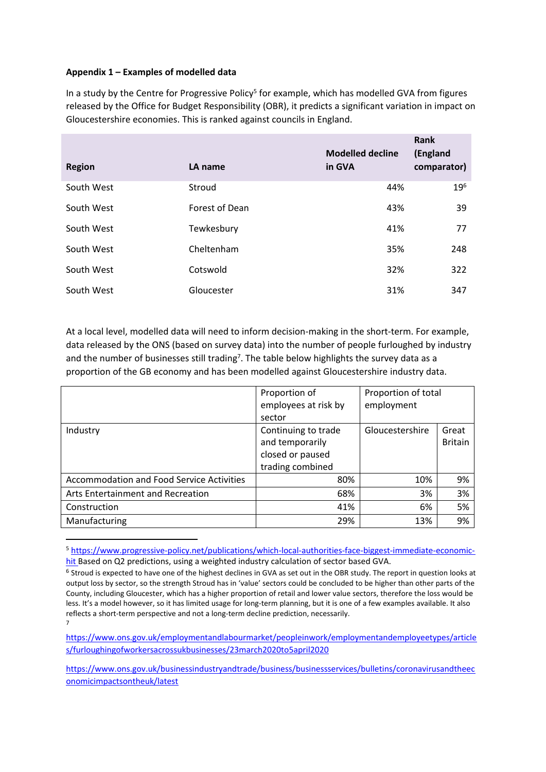#### **Appendix 1 – Examples of modelled data**

In a study by the Centre for Progressive Policy<sup>5</sup> for example, which has modelled GVA from figures released by the Office for Budget Responsibility (OBR), it predicts a significant variation in impact on Gloucestershire economies. This is ranked against councils in England.

| <b>Region</b> | LA name        | <b>Modelled decline</b><br>in GVA | Rank<br>(England<br>comparator) |
|---------------|----------------|-----------------------------------|---------------------------------|
| South West    | Stroud         | 44%                               | $19^{6}$                        |
| South West    | Forest of Dean | 43%                               | 39                              |
| South West    | Tewkesbury     | 41%                               | 77                              |
| South West    | Cheltenham     | 35%                               | 248                             |
| South West    | Cotswold       | 32%                               | 322                             |
| South West    | Gloucester     | 31%                               | 347                             |

At a local level, modelled data will need to inform decision-making in the short-term. For example, data released by the ONS (based on survey data) into the number of people furloughed by industry and the number of businesses still trading<sup>7</sup>. The table below highlights the survey data as a proportion of the GB economy and has been modelled against Gloucestershire industry data.

|                                                  | Proportion of        | Proportion of total |                |
|--------------------------------------------------|----------------------|---------------------|----------------|
|                                                  | employees at risk by | employment          |                |
|                                                  | sector               |                     |                |
| Industry                                         | Continuing to trade  | Gloucestershire     | Great          |
|                                                  | and temporarily      |                     | <b>Britain</b> |
|                                                  | closed or paused     |                     |                |
|                                                  | trading combined     |                     |                |
| <b>Accommodation and Food Service Activities</b> | 80%                  | 10%                 | 9%             |
| Arts Entertainment and Recreation                | 68%                  | 3%                  | 3%             |
| Construction                                     | 41%                  | 6%                  | 5%             |
| Manufacturing                                    | 29%                  | 13%                 | 9%             |

<sup>5</sup> [https://www.progressive-policy.net/publications/which-local-authorities-face-biggest-immediate-economic](https://www.progressive-policy.net/publications/which-local-authorities-face-biggest-immediate-economic-hit)[hit](https://www.progressive-policy.net/publications/which-local-authorities-face-biggest-immediate-economic-hit) Based on Q2 predictions, using a weighted industry calculation of sector based GVA.

[https://www.ons.gov.uk/employmentandlabourmarket/peopleinwork/employmentandemployeetypes/article](https://www.ons.gov.uk/employmentandlabourmarket/peopleinwork/employmentandemployeetypes/articles/furloughingofworkersacrossukbusinesses/23march2020to5april2020) [s/furloughingofworkersacrossukbusinesses/23march2020to5april2020](https://www.ons.gov.uk/employmentandlabourmarket/peopleinwork/employmentandemployeetypes/articles/furloughingofworkersacrossukbusinesses/23march2020to5april2020)

[https://www.ons.gov.uk/businessindustryandtrade/business/businessservices/bulletins/coronavirusandtheec](https://www.ons.gov.uk/businessindustryandtrade/business/businessservices/bulletins/coronavirusandtheeconomicimpactsontheuk/latest) [onomicimpactsontheuk/latest](https://www.ons.gov.uk/businessindustryandtrade/business/businessservices/bulletins/coronavirusandtheeconomicimpactsontheuk/latest)

<sup>&</sup>lt;sup>6</sup> Stroud is expected to have one of the highest declines in GVA as set out in the OBR study. The report in question looks at output loss by sector, so the strength Stroud has in 'value' sectors could be concluded to be higher than other parts of the County, including Gloucester, which has a higher proportion of retail and lower value sectors, therefore the loss would be less. It's a model however, so it has limited usage for long-term planning, but it is one of a few examples available. It also reflects a short-term perspective and not a long-term decline prediction, necessarily. 7